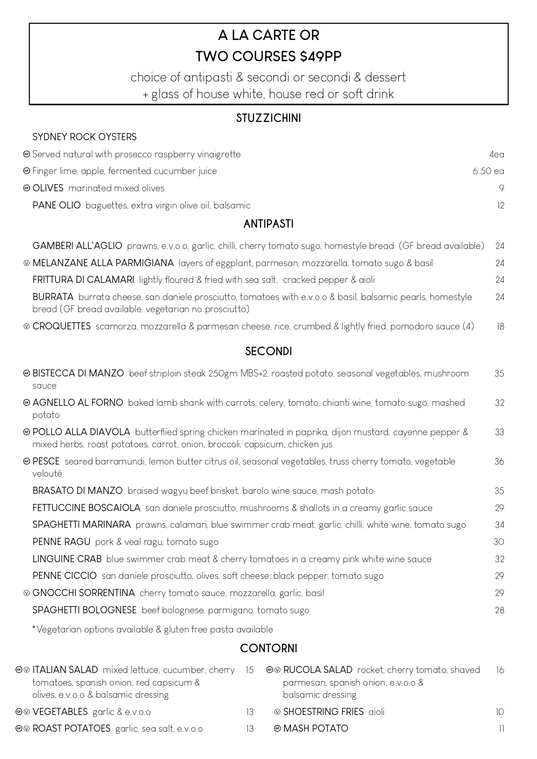# A LA CARTE OR **TWO COURSES S49PP**

choice of antipasti & secondi or secondi & dessert + glass of house white, house red or soft drink

#### **STUZZICHINI**

 $4e<sub>0</sub>$ 

 $\circ$ 

 $12$ 

6.50 ea

## SYDNEY ROCK OYSTERS Served natural with prosecco raspberry vinaigrette **@** Finger lime, apple, fermented cucumber juice © OI IVES marinated mixed olives PANE OLIO baguettes, extra virgin olive oil, balsamic

#### **ANTIPASTI**

| GAMBERI ALL'AGLIO prawns, e.v.o.o, garlic, chilli, cherry tomato sugo, homestyle bread (GF bread available)                                                                          | 24 |
|--------------------------------------------------------------------------------------------------------------------------------------------------------------------------------------|----|
| © MELANZANE ALLA PARMIGIANA layers of eggplant, parmesan, mozzarella, tomato sugo & basil                                                                                            | 24 |
| FRITTURA DI CALAMARI lightly floured & fried with sea salt, cracked pepper & aioli                                                                                                   | 24 |
| BURRATA burrata cheese, san daniele prosciutto, tomatoes with e.v.o.o & basil, balsamic pearls, homestyle<br>bread (GF bread available, vegetarian no prosciutto)                    | 24 |
| © CROQUETTES scamorza, mozzarella & parmesan cheese, rice, crumbed & lightly fried, pomodoro sauce (4)                                                                               | 18 |
| <b>SECONDI</b>                                                                                                                                                                       |    |
| @ BISTECCA DI MANZO beef striploin steak 250gm MBS+2, roasted potato, seasonal vegetables, mushroom<br>sauce                                                                         | 35 |
| @ AGNELLO AL FORNO baked lamb shank with carrots, celery, tomato, chianti wine, tomato sugo, mashed<br>potato                                                                        | 32 |
| ® POLLO ALLA DIAVOLA butterflied spring chicken marinated in paprika, dijon mustard, cayenne pepper &<br>mixed herbs, roast potatoes, carrot, onion, broccoli, capsicum, chicken jus | 33 |
| @ PESCE seared barramundi, lemon butter citrus oil, seasonal vegetables, truss cherry tomato, vegetable<br>velouté                                                                   | 36 |
| BRASATO DI MANZO braised wagyu beef brisket, barolo wine sauce, mash potato                                                                                                          | 35 |
| FETTUCCINE BOSCAIOLA san daniele prosciutto, mushrooms & shallots in a creamy garlic sauce                                                                                           | 29 |
| SPAGHETTI MARINARA prawns, calamari, blue swimmer crab meat, garlic, chilli, white wine, tomato sugo                                                                                 | 34 |
| PENNE RAGU pork & veal ragu, tomato sugo                                                                                                                                             | 30 |
| LINGUINE CRAB blue swimmer crab meat & cherry tomatoes in a creamy pink white wine sauce                                                                                             | 32 |
| PENNE CICCIO san daniele prosciutto, olives, soft cheese, black pepper, tomato sugo                                                                                                  | 29 |
| © GNOCCHI SORRENTINA cherry tomato sauce, mozzarella, garlic, basil                                                                                                                  | 29 |
| SPAGHETTI BOLOGNESE beef bolognese, parmigano, tomato sugo                                                                                                                           | 28 |
|                                                                                                                                                                                      |    |

\*Vegetarian options available & gluten free pasta available

### **CONTORNI**

| ⊕® ITALIAN SALAD mixed lettuce, cucumber, cherry 15 ©® RUCOLA SALAD rocket, cherry tomato, shaved |     |                                                         | - 16            |
|---------------------------------------------------------------------------------------------------|-----|---------------------------------------------------------|-----------------|
| tomatoes, spanish onion, red capsicum &<br>olives, e.v.o.o & balsamic dressing                    |     | parmesan, spanish onion, e.v.o.o &<br>balsamic dressing |                 |
| <b>©© VEGETABLES</b> garlic & e.v.o.o                                                             |     | i® SHOESTRING FRIES aioli                               | 10 <sup>1</sup> |
| <b>©© ROAST POTATOES</b> garlic, sea salt, e.v.o.o                                                | 13. | to MASH POTATO                                          | 11              |